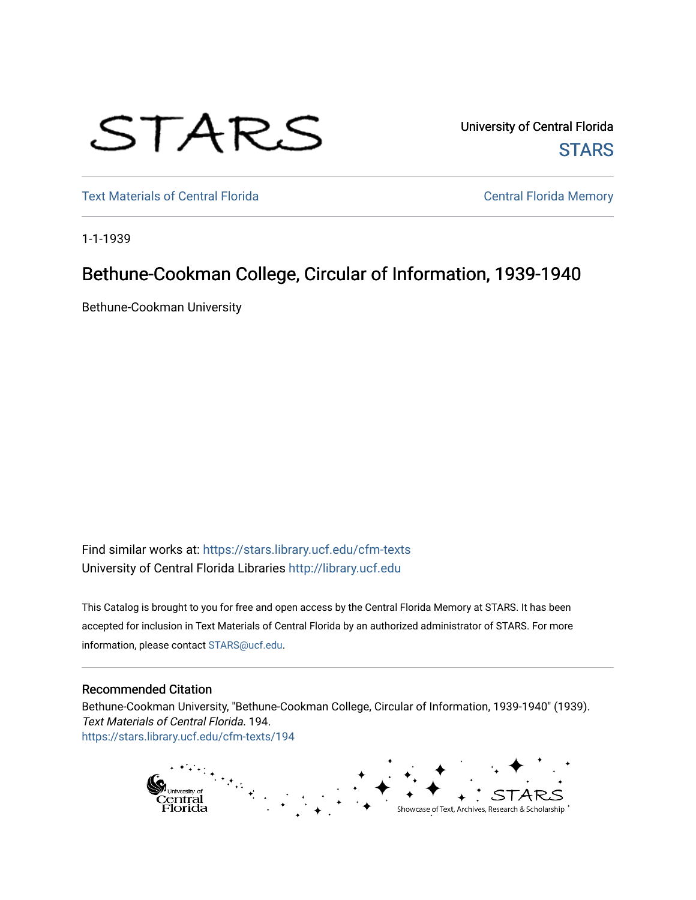

University of Central Florida **STARS** 

[Text Materials of Central Florida](https://stars.library.ucf.edu/cfm-texts) **CENTRA CENTRAL CENTRAL CENTRAL CENTRAL CENTRAL CENTRAL CENTRAL CENTRAL CENTRAL** 

1-1-1939

## Bethune-Cookman College, Circular of Information, 1939-1940

Bethune-Cookman University

Find similar works at: <https://stars.library.ucf.edu/cfm-texts> University of Central Florida Libraries [http://library.ucf.edu](http://library.ucf.edu/) 

This Catalog is brought to you for free and open access by the Central Florida Memory at STARS. It has been accepted for inclusion in Text Materials of Central Florida by an authorized administrator of STARS. For more information, please contact [STARS@ucf.edu.](mailto:STARS@ucf.edu)

## Recommended Citation

Bethune-Cookman University, "Bethune-Cookman College, Circular of Information, 1939-1940" (1939). Text Materials of Central Florida. 194. [https://stars.library.ucf.edu/cfm-texts/194](https://stars.library.ucf.edu/cfm-texts/194?utm_source=stars.library.ucf.edu%2Fcfm-texts%2F194&utm_medium=PDF&utm_campaign=PDFCoverPages)

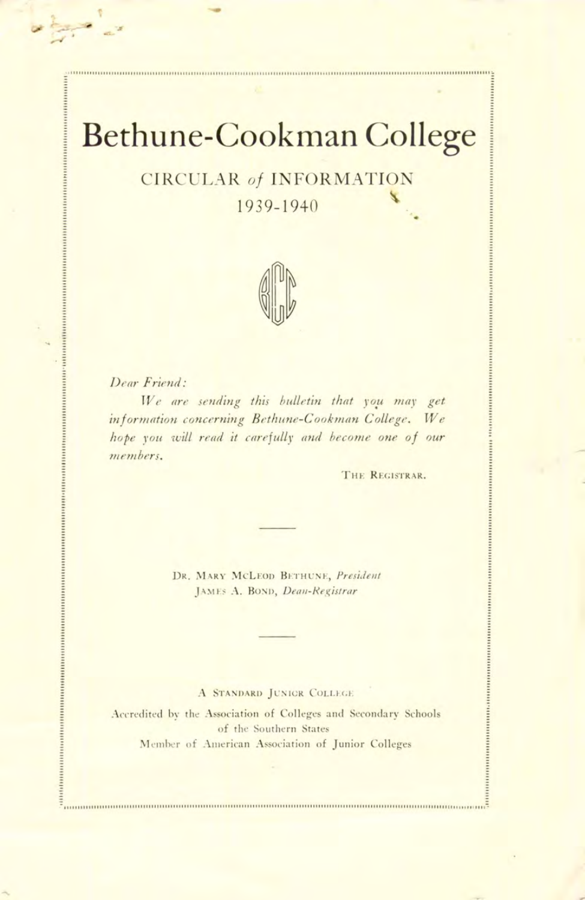# Bethune-Cookman College

## **CIRCULAR of INFORMATION**

1939-1940



Dear Friend:

..................

 $\begin{minipage}{0.9\linewidth} \textbf{m} & \textbf{m} & \textbf{m} & \textbf{m} & \textbf{m} & \textbf{m} & \textbf{m} & \textbf{m} & \textbf{m} & \textbf{m} & \textbf{m} & \textbf{m} & \textbf{m} & \textbf{m} & \textbf{m} & \textbf{m} & \textbf{m} & \textbf{m} & \textbf{m} & \textbf{m} & \textbf{m} & \textbf{m} & \textbf{m} & \textbf{m} & \textbf{m} & \textbf{m} & \textbf{m} & \textbf{m} & \textbf{m} & \textbf{$ 

......................

We are sending this bulletin that you may get information concerning Bethune-Cookman College. We hope you will read it carefully and become one of our members.

THE REGISTRAR.

DR. MARY MCLEOD BETHUNE, President JAMES A. BOND, Dean-Registrar

#### A STANDARD JUNIOR COLLEGE

Accredited by the Association of Colleges and Secondary Schools of the Southern States Member of American Association of Junior Colleges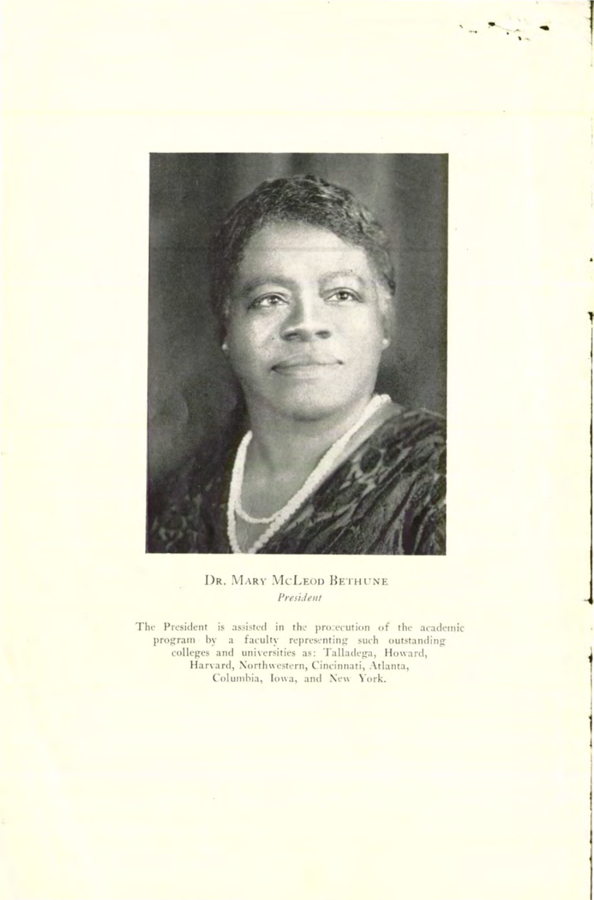

## DR. MARY MCLEOD BETHUNE President

The President is assisted in the procecution of the academic program by a faculty representing such outstanding<br>colleges and universities as: Talladega, Howard,<br>Harvard, Northwestern, Cincinnati, Atlanta, Columbia, Iowa, and New York.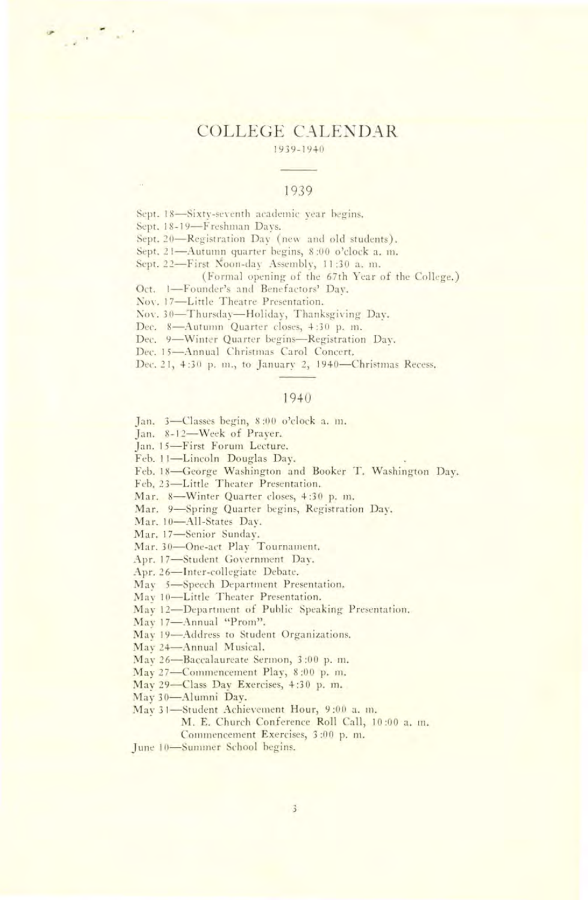#### **COLLEGE CALENDAR** 1939-1940

#### 1939

Sept. 18-Sixty-seventh academic year begins.

Sept. 18-19-Freshman Days.

 $\mathbb{R}^{\mathbb{R}^n \times \mathbb{R}^n}$ 

Sept. 20-Registration Day (new and old students).

Sept. 21-Autumn quarter begins, 8:00 o'clock a. m.

Sept. 22-First Noon-day Assembly, 11:30 a.m.

(Formal opening of the 67th Year of the College.)

Oct. 1-Founder's and Benefactors' Day.

Nov. 17-Little Theatre Presentation.

Nov. 30-Thursday-Holiday, Thanksgiving Day.

Dec. 8-Autumn Quarter closes, 4:30 p.m.

Dec. 9-Winter Quarter begins-Registration Day.

Dec. 15-Annual Christmas Carol Concert.

Dec. 21, 4:30 p. m., to January 2, 1940-Christmas Recess,

#### 1940

Jan. 3-Classes begin, 8:00 o'clock a. m.

Jan. 8-12-Week of Prayer.

Jan. 15-First Forum Lecture.

Feb. 11-Lincoln Douglas Day.

Feb. 18-George Washington and Booker T. Washington Day.

Feb, 23-Little Theater Presentation.

Mar. 8-Winter Quarter closes, 4:30 p. m.

Mar. 9-Spring Quarter begins, Registration Day.

Mar, 10-All-States Dav.

Mar. 17-Senior Sunday.

Mar. 30-One-act Play Tournament.

Apr. 17-Student Government Day.

Apr. 26-Inter-collegiate Debate,

May 5-Speech Department Presentation.

May 10-Little Theater Presentation.

May 12-Department of Public Speaking Presentation.

May 17-Annual "Prom".

May 19-Address to Student Organizations.

May 24-Annual Musical.

May 26-Baccalaureate Sermon, 3:00 p.m.

May 27-Commencement Play, 8:00 p.m.

May 29-Class Day Exercises, 4:30 p.m.

May 30-Alumni Day.

May 31-Student Achievement Hour, 9:00 a. m.

M. E. Church Conference Roll Call, 10:00 a. m.

Commencement Exercises, 3:00 p.m.

June 10-Summer School begins.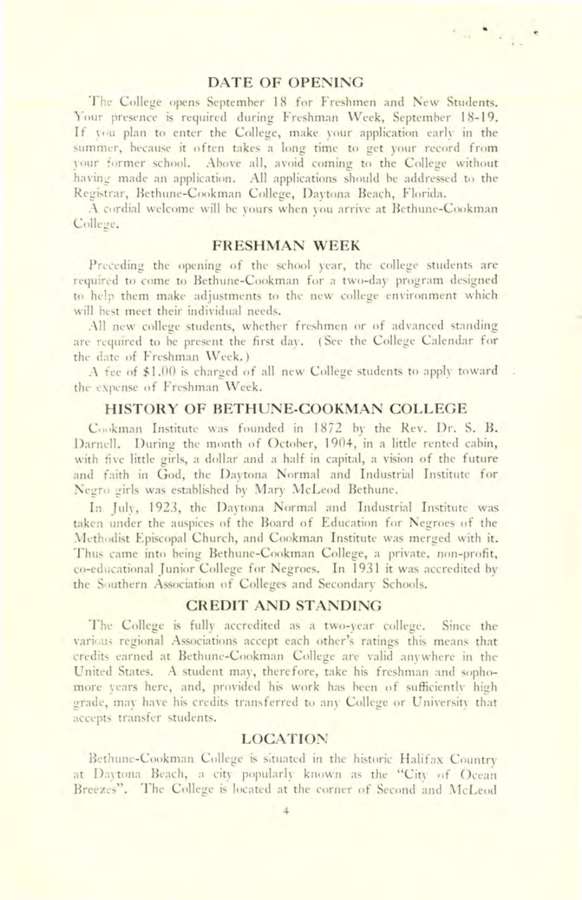#### **DATE OF OPENING**

 $\label{eq:1} \nabla_{\alpha\beta} = \nabla_{\beta} \nabla_{\beta} \nabla_{\beta} \nabla_{\beta}$ 

The College opens September 18 for Freshmen and New Students. Your presence is required during Freshman Week, September 18-19. If you plan to enter the College, make your application early in the summer, because it often takes a long time to get your record from your former school. Above all, avoid coming to the College without having made an application. All applications should be addressed to the Registrar, Bethune-Cookman College, Daytona Beach, Florida.

A cordial welcome will be yours when you arrive at Bethune-Cookman College.

## **FRESHMAN WEEK**

Preceding the opening of the school year, the college students are required to come to Bethune-Cookman for a two-day program designed to help them make adjustments to the new college environment which will hest meet their individual needs.

All new college students, whether freshmen or of advanced standing are required to be present the first day. (See the College Calendar for the date of Freshman Week.)

A fee of \$1.00 is charged of all new College students to apply toward the expense of Freshman Week.

#### **HISTORY OF BETHUNE-COOKMAN COLLEGE**

Cookman Institute was founded in 1872 by the Rev. Dr. S. B. Darnell. During the month of October, 1904, in a little rented cabin, with five little girls, a dollar and a half in capital, a vision of the future and faith in God, the Daytona Normal and Industrial Institute for Negro girls was established by Mary McLeod Bethune.

In July, 1923, the Daytona Normal and Industrial Institute was taken under the auspices of the Board of Education for Negroes of the Methodist Episcopal Church, and Cookman Institute was merged with it. Thus came into being Bethune-Cookman College, a private, non-profit, co-educational Junior College for Negroes. In 1931 it was accredited by the Southern Association of Colleges and Secondary Schools.

#### **CREDIT AND STANDING**

The College is fully accredited as a two-year college. Since the various regional Associations accept each other's ratings this means that credits earned at Bethune-Cookman College are valid anywhere in the United States. A student may, therefore, take his freshman and sophomore years here, and, provided his work has been of sufficiently high grade, may have his credits transferred to any College or University that accepts transfer students.

#### **LOCATION**

Bethune-Cookman College is situated in the historic Halifax Country at Daytona Beach, a city popularly known as the "City of Ocean Breezes". The College is located at the corner of Second and McLeod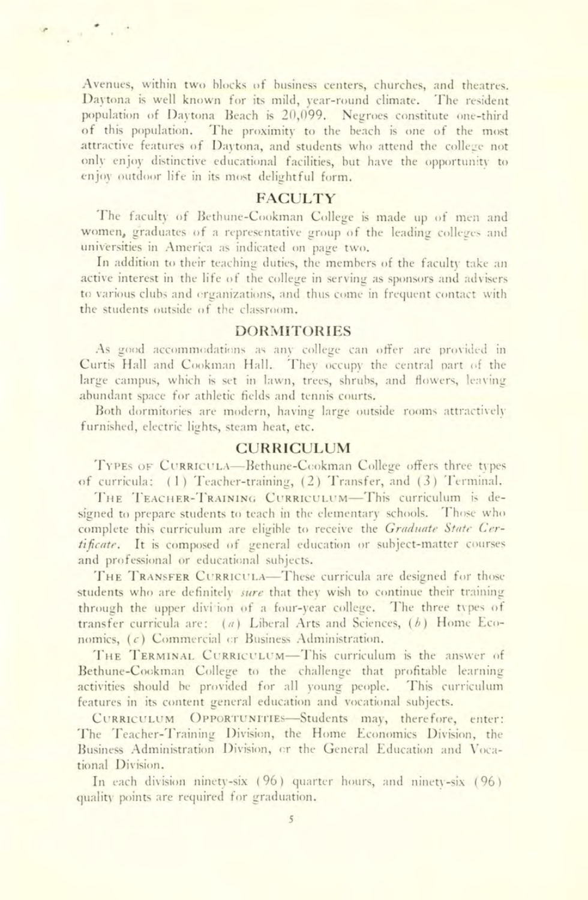Avenues, within two blocks of business centers, churches, and theatres. Daytona is well known for its mild, year-round climate. The resident population of Daytona Beach is 20,099. Negroes constitute one-third of this population. The proximity to the beach is one of the most attractive features of Daytona, and students who attend the college not only enjoy distinctive educational facilities, but have the opportunity to enjoy outdoor life in its most delightful form.

#### **FACULTY**

The faculty of Bethune-Cookman College is made up of men and women, graduates of a representative group of the leading colleges and universities in America as indicated on page two.

In addition to their teaching duties, the members of the faculty take an active interest in the life of the college in serving as sponsors and advisers to various clubs and erganizations, and thus come in frequent contact with the students outside of the classroom.

#### **DORMITORIES**

As good accommodations as any college can offer are provided in Curtis Hall and Cookman Hall. They occupy the central part of the large campus, which is set in lawn, trees, shrubs, and flowers, leaving abundant space for athletic fields and tennis courts.

Both dormitories are modern, having large outside rooms attractively furnished, electric lights, steam heat, etc.

## **CURRICULUM**

TYPES OF CURRICULA-Bethune-Cookman College offers three types of curricula: (1) Teacher-training, (2) Transfer, and (3) Terminal,

THE TEACHER-TRAINING CURRICULUM-This curriculum is designed to prepare students to teach in the elementary schools. Those who complete this curriculum are eligible to receive the Graduate State Certificate. It is composed of general education or subject-matter courses and professional or educational subjects.

THE TRANSFER CURRICULA-These curricula are designed for those students who are definitely *sure* that they wish to continue their training through the upper divition of a four-year college. The three types of transfer curricula are: (a) Liberal Arts and Sciences, (b) Home Economics. (c) Commercial or Business Administration.

THE TERMINAL CURRICULUM-This curriculum is the answer of Bethune-Cookman College to the challenge that profitable learning activities should be provided for all young people. This curriculum features in its content general education and vocational subjects.

CURRICULUM OPPORTUNITIES-Students may, therefore, enter: The Teacher-Training Division, the Home Economics Division, the Business Administration Division, or the General Education and Vocational Division.

In each division ninety-six (96) quarter hours, and ninety-six (96) quality points are required for graduation.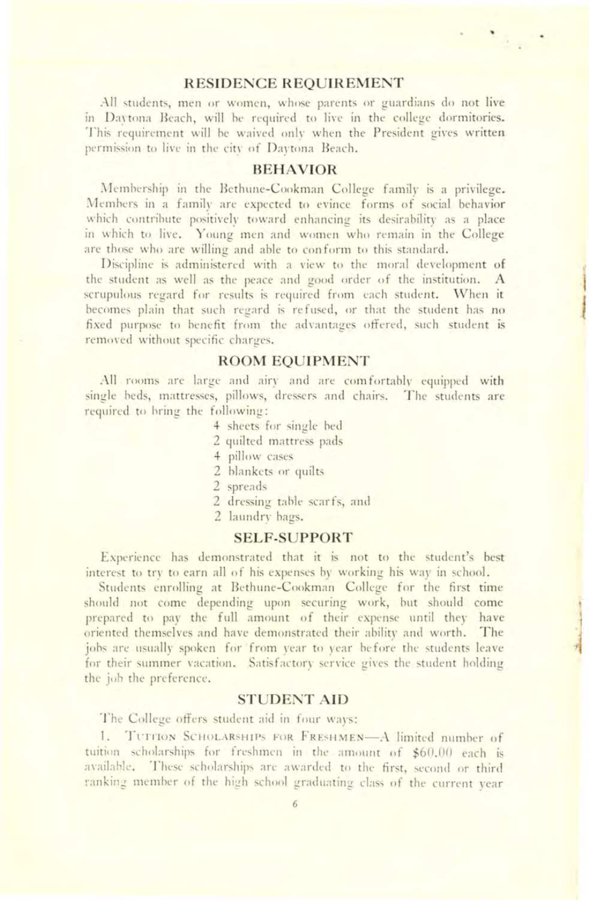#### **RESIDENCE REQUIREMENT**

All students, men or women, whose parents or guardians do not live in Daytona Beach, will be required to live in the college dormitories. This requirement will be waived only when the President gives written permission to live in the city of Daytona Beach.

## **BEHAVIOR**

Membership in the Bethune-Cookman College family is a privilege. Members in a family are expected to evince forms of social behavior which contribute positively toward enhancing its desirability as a place in which to live. Young men and women who remain in the College are those who are willing and able to conform to this standard.

Discipline is administered with a view to the moral development of the student as well as the peace and good order of the institution. A scrupulous regard for results is required from each student. When it becomes plain that such regard is refused, or that the student has no fixed purpose to benefit from the advantages offered, such student is removed without specific charges.

#### **ROOM EQUIPMENT**

All rooms are large and airy and are comfortably equipped with single beds, mattresses, pillows, dressers and chairs. The students are required to bring the following:

- 4 sheets for single bed
- 2 quilted mattress pads
- 4 pillow cases
- 2 hlankets or quilts
- 2 spreads
- 2 dressing table scarfs, and
- 2 laundry bags.

#### **SELF-SUPPORT**

Experience has demonstrated that it is not to the student's best interest to try to earn all of his expenses by working his way in school.

Students enrolling at Bethune-Cookman College for the first time should not come depending upon securing work, but should come prepared to pay the full amount of their expense until they have oriented themselves and have demonstrated their ability and worth. **The**  jobs are usually spoken for from year to year before the students leave for their summer vacation. Satisfactory service gives the student holding the job the preference.

## **STUDENT AID**

The College offers student aid in four ways:

1. TUITION SCHOLARSHIPS FOR FRESHMEN-A limited number of tuition scholarships for freshmen in the amount of \$60.00 each is available. These scholarships are awarded to the first, second or third ranking member of the high school graduating class of the current year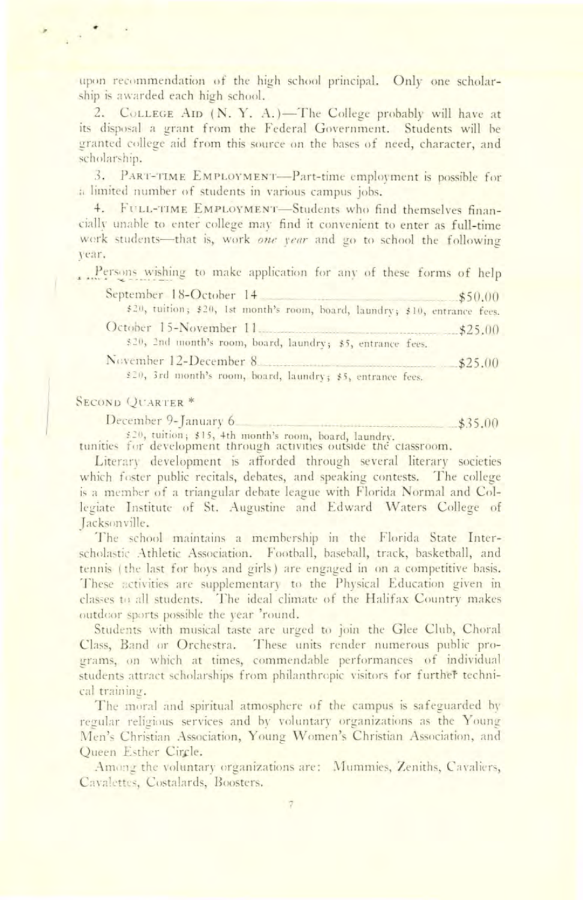upon recommendation of the high school principal. Only one scholarship is awarded each high school.

2. COLLEGE AID (N. Y. A.)-The College probably will have at its disposal a grant from the Federal Government. Students will be granted college aid from this source on the bases of need, character, and scholarship.

3. PART-TIME EMPLOYMENT-Part-time employment is possible for a limited number of students in various campus jobs.

4. FULL-TIME EMPLOYMENT-Students who find themselves financially unable to enter college may find it convenient to enter as full-time work students-that is, work one year and go to school the following vear.

Persons wishing to make application for any of these forms of help

| September 18-October 14 \$50.00                                             |         |
|-----------------------------------------------------------------------------|---------|
| \$20, tuition; \$20, 1st month's room, board, laundry; \$10, entrance fees. |         |
| October 15-November 11 \$25.00                                              |         |
| \$20, 2nd month's room, board, laundry; \$5, entrance fees.                 |         |
| November 12-December 8                                                      | \$25.00 |
| 530 Ted among the summer formed from the second company of                  |         |

\$20, 3rd month's room, board, laundry; \$5, entrance fees.

#### **SECOND QUARTER \***

December 9-January 6  $$35.00$ 

\$20, tuition; \$15, 4th month's room, board, laundry. tunities for development through activities outside the classroom.

Literary development is afforded through several literary societies which foster public recitals, debates, and speaking contests. The college is a member of a triangular debate league with Florida Normal and Collegiate Institute of St. Augustine and Edward Waters College of Jacksonville.

The school maintains a membership in the Florida State Interscholastic Athletic Association. Football, baseball, track, basketball, and tennis (the last for boys and girls) are engaged in on a competitive basis. These activities are supplementary to the Physical Education given in classes to all students. The ideal climate of the Halifax Country makes outdoor sports possible the year 'round.

Students with musical taste are urged to join the Glee Club, Choral Class, Band or Orchestra. These units render numerous public programs, on which at times, commendable performances of individual students attract scholarships from philanthropic visitors for further technical training.

The moral and spiritual atmosphere of the campus is safeguarded by regular religious services and by voluntary organizations as the Young Men's Christian Association, Young Women's Christian Association, and Queen Esther Circle.

Among the voluntary organizations are: Mummies, Zeniths, Cavaliers, Cavalettes, Costalards, Boosters.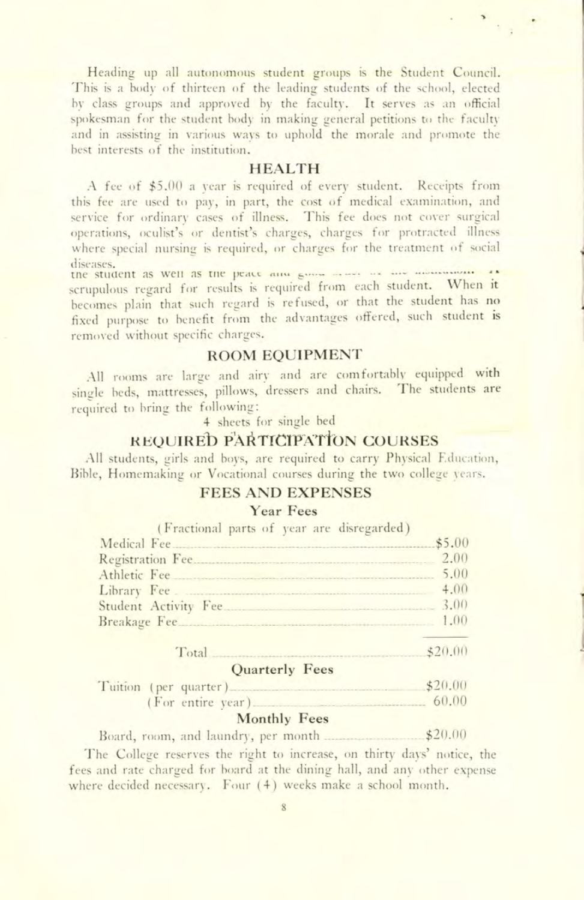Heading up all autonomous student groups is the Student Council. This is a body of thirteen of the leading students of the school, elected by class groups and approved by the faculty. It serves as an official spokesman for the student body in making general petitions to the faculty and in assisting in various ways to uphold the morale and promote the best interests of the institution.

#### **HEALTH**

A fee of \$5.00 a year is required of every student. Receipts from this fee are used to pay, in part, the cost of medical examination, and service for ordinary cases of illness. This fee does not cover surgical operations, oculist's or dentist's charges, charges for protracted illness where special nursing is required, or charges for the treatment of social diseases.

the student as well as the peace and government was to scrupulous regard for results is required from each student. When it becomes plain that such regard is refused, or that the student has no fixed purpose to benefit from the advantages offered, such student is removed without specific charges.

## **ROOM EQUIPMENT**

All rooms are large and airy and are comfortably equipped with single beds, mattresses, pillows, dressers and chairs. The students are required to bring the following:

4 sheets for single bed

## **REQUIRED PARTICIPATION COURSES**

All students, girls and boys, are required to carry Physical Education, Bible, Homemaking or Vocational courses during the two college years.

#### **FEES AND EXPENSES**

## **Year Fees**

|  |  | (Fractional parts of year are disregarded) |        |
|--|--|--------------------------------------------|--------|
|  |  | Medical Fee                                | \$5.00 |
|  |  |                                            | 2.00   |
|  |  | Athletic Fee                               | 5.00   |
|  |  | Library Fee.                               | 4.00   |
|  |  | Student Activity Fee 3.00                  |        |
|  |  |                                            |        |
|  |  |                                            |        |

#### $$20.00$ Total Quarterly Fees

|  |  | $\sigma$ uarterry rees |         |
|--|--|------------------------|---------|
|  |  | Tuition (per quarter)  | \$20.00 |
|  |  | (For entire year)      | 60.00   |

#### Monthly Fees

 $$20.00$ Board, room, and laundry, per month ...

The College reserves the right to increase, on thirty days' notice, the fees and rate charged for board at the dining hall, and any other expense where decided necessary. Four (4) weeks make a school month.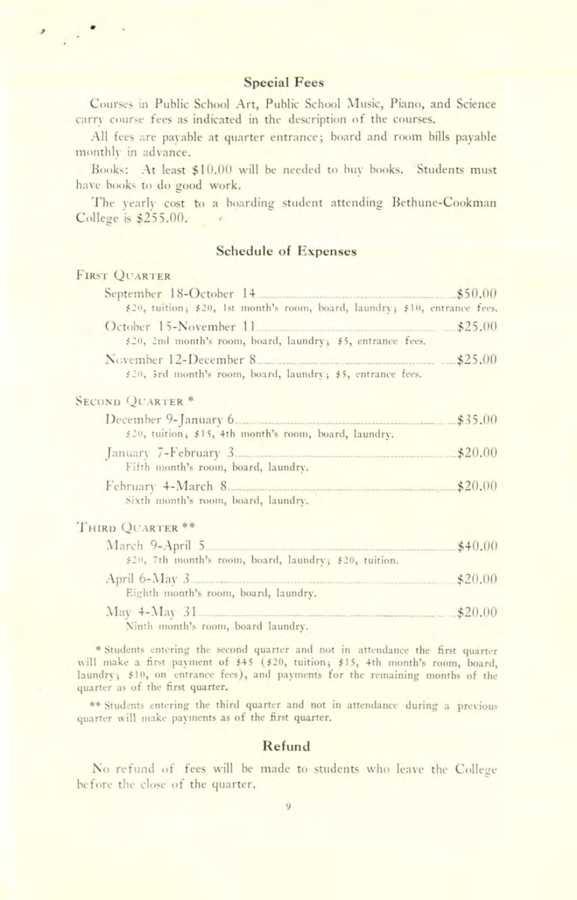## **Special Fees**

Courses in Public School Art, Public School Music, Piano, and Science carry course fees as indicated in the description of the courses.

All fees are payable at quarter entrance; board and room bills payable monthly in advance.

Books: At least \$10.00 will be needed to buy books. Students must have books to do good work.

The yearly cost to a boarding student attending Bethune-Cookman College is \$255.00.

## **Schedule of Expenses**

#### **FIRST OUARTER**

 $\mathcal{L}^{\bullet}$  .

| September 18-October 14 \$50.00                                                               |  |
|-----------------------------------------------------------------------------------------------|--|
| \$20, tuition; \$20, 1st month's room, board, laundry; \$10, entrance fees.                   |  |
| \$20, 2nd month's room, board, laundry; \$5, entrance fees.                                   |  |
| November 12-December 8 \$25.00<br>\$20, 3rd month's room, board, laundry; \$5, entrance fees. |  |
| <b>SECOND QUARTER *</b>                                                                       |  |
| \$20, tuition; \$15, 4th month's room, board, laundry.                                        |  |
| Fifth month's room, board, laundry.                                                           |  |

February 4-March 8  $$20.00$ Sixth month's room, board, laundry.

#### THIRD QUARTER \*\*

| March 9-April 5                                        | \$40.00 |
|--------------------------------------------------------|---------|
| \$20, 7th month's room, board, laundry; \$20, tuition. |         |
| April 6-May 3 \$20.00                                  |         |
| Eighth month's room, board, laundry.                   |         |
| May 4-May 31 \$20.00                                   |         |
| Ninth month's room, board laundry.                     |         |

\* Students entering the second quarter and not in attendance the first quarter will make a first payment of \$45 (\$20, tuition; \$15, 4th month's room, board, laundry; \$10, on entrance fees), and payments for the remaining months of the quarter as of the first quarter.

\*\* Students entering the third quarter and not in attendance during a previous quarter will make payments as of the first quarter.

## Refund

No refund of fees will be made to students who leave the College before the close of the quarter.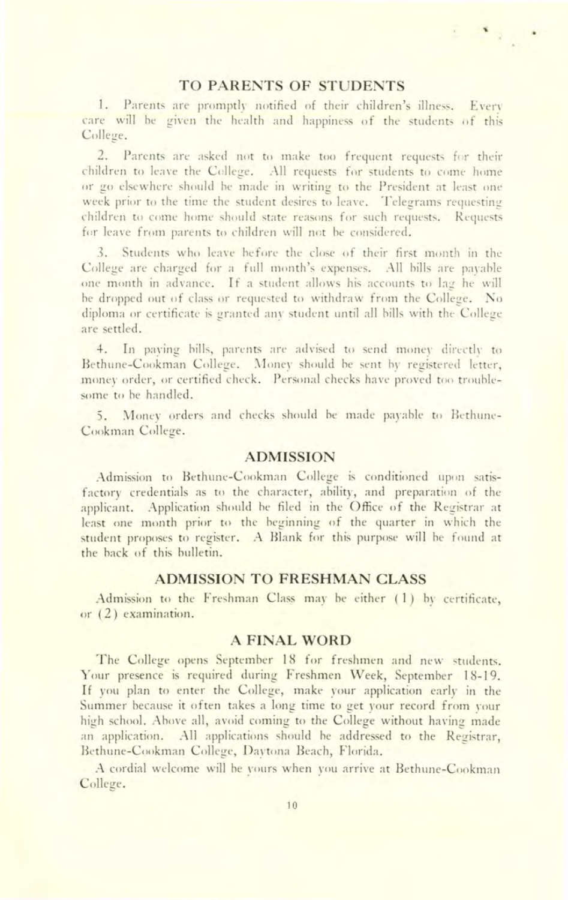#### **TO PARENTS OF STUDENTS**

 $\mathbf{r} = \mathbf{r}$ 

1. Parents are promptly notified of their children's illness. Every care will he given the health and happiness of the students of this College.

2. Parents are asked not to make too frequent requests for their children to leave the College. All requests for students to come home or go elsewhere should he made in writing to the President at least one week prior to the time the student desires to leave. Telegrams requesting children to come home should state reasons for such requests. Requests for leave from parents to children will not be considered.

3. Students who leave before the close of their first month in the College are charged for a full month's expenses. All bills are payahle one month in advance. If a student allows his accounts to lag he will he dropped out of class or requested to withdraw from the College. No diploma or certificate is granted any student until all bills with the College are settled.

4. In paying bills, parents are advised to send money directly to Bethune-Cookman College. Money should be sent by registered letter, money order, or certified check. Personal checks have proved too troublesome to be handled.

5. Money orders and checks should he made payable to Bethune-Cookman College.

#### **ADMISSION**

Admission to Bethune-Cookman College is conditioned upon satisfactory credentials as to the character, ability, and preparation of the applicant. Application should be filed in the Office of the Registrar at least one month prior to the beginning of the quarter in which the student proposes to register. A Blank for this purpose will he found at the hack of this bulletin.

#### **ADMISSION TO FRESHMAN CLASS**

Admission to the Freshman Class may be either  $(1)$  by certificate, or  $(2)$  examination.

## **A FINAL WORD**

The College opens September 18 for freshmen and new students. Your presence is required during Freshmen Week, September 18-19. If you plan to enter the College, make your application early in the Summer because it often takes a long time to get your record from your high school. Above all, avoid coming to the College without having made an application. All applications should be addressed to the Registrar, Bethune-Cookman College, Daytona Beach, Florida.

A cordial welcome will he vours when you arrive at Bethune-Cookman College.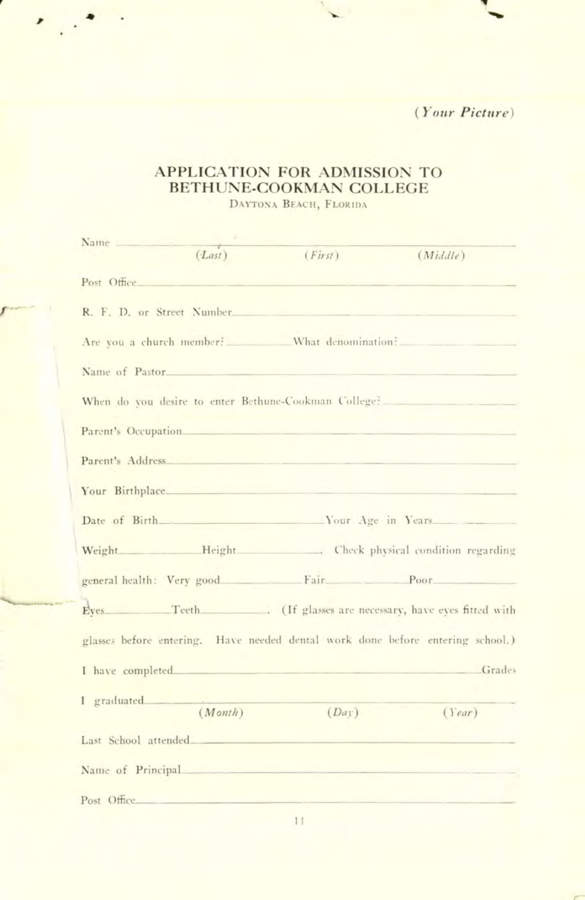$(Your Picture)$ 

## APPLICATION FOR ADMISSION TO BETHUNE-COOKMAN COLLEGE

DAYTONA BEACH, FLORIDA

| Name        |                                             |                                                                                                                                                                                                                                |                                                                                |
|-------------|---------------------------------------------|--------------------------------------------------------------------------------------------------------------------------------------------------------------------------------------------------------------------------------|--------------------------------------------------------------------------------|
|             | $(Last)$ ( <i>First</i> )                   |                                                                                                                                                                                                                                | (Middle)                                                                       |
|             | Post Office Post Office                     |                                                                                                                                                                                                                                |                                                                                |
|             |                                             | R. F. D. or Street Number                                                                                                                                                                                                      |                                                                                |
|             |                                             |                                                                                                                                                                                                                                | Are you a church member? What denomination?                                    |
|             | Name of Pastor                              |                                                                                                                                                                                                                                |                                                                                |
|             |                                             |                                                                                                                                                                                                                                | When do you desire to enter Bethune-Cookman College?                           |
|             |                                             | Parent's Occupation and the contract of the contract of the contract of the contract of the contract of the contract of the contract of the contract of the contract of the contract of the contract of the contract of the co |                                                                                |
|             |                                             | Parent's Address have a control of the control of the control of the control of the control of the control of the control of the control of the control of the control of the control of the control of the control of the con |                                                                                |
|             |                                             | Your Birthplace.                                                                                                                                                                                                               |                                                                                |
|             |                                             |                                                                                                                                                                                                                                | Date of Birth Nour Age in Years                                                |
|             |                                             |                                                                                                                                                                                                                                | Weight ____________Height _______________. Check physical condition regarding  |
|             |                                             |                                                                                                                                                                                                                                | general health: Very good Fair Poor                                            |
|             |                                             |                                                                                                                                                                                                                                | Eyes Teeth (If glasses are necessary, have eyes fitted with                    |
|             |                                             |                                                                                                                                                                                                                                | glasses before entering. Have needed dental work done before entering school.) |
|             |                                             | I have completed and a series of the complete of the series of the series of the series of the series of the series of the series of the series of the series of the series of the series of the series of the series of the s | <b>Grades</b>                                                                  |
|             | I graduated Allen Communications<br>(Month) | (Da)                                                                                                                                                                                                                           | (Year)                                                                         |
|             |                                             |                                                                                                                                                                                                                                |                                                                                |
|             |                                             | Name of Principal                                                                                                                                                                                                              |                                                                                |
| Post Office |                                             |                                                                                                                                                                                                                                |                                                                                |